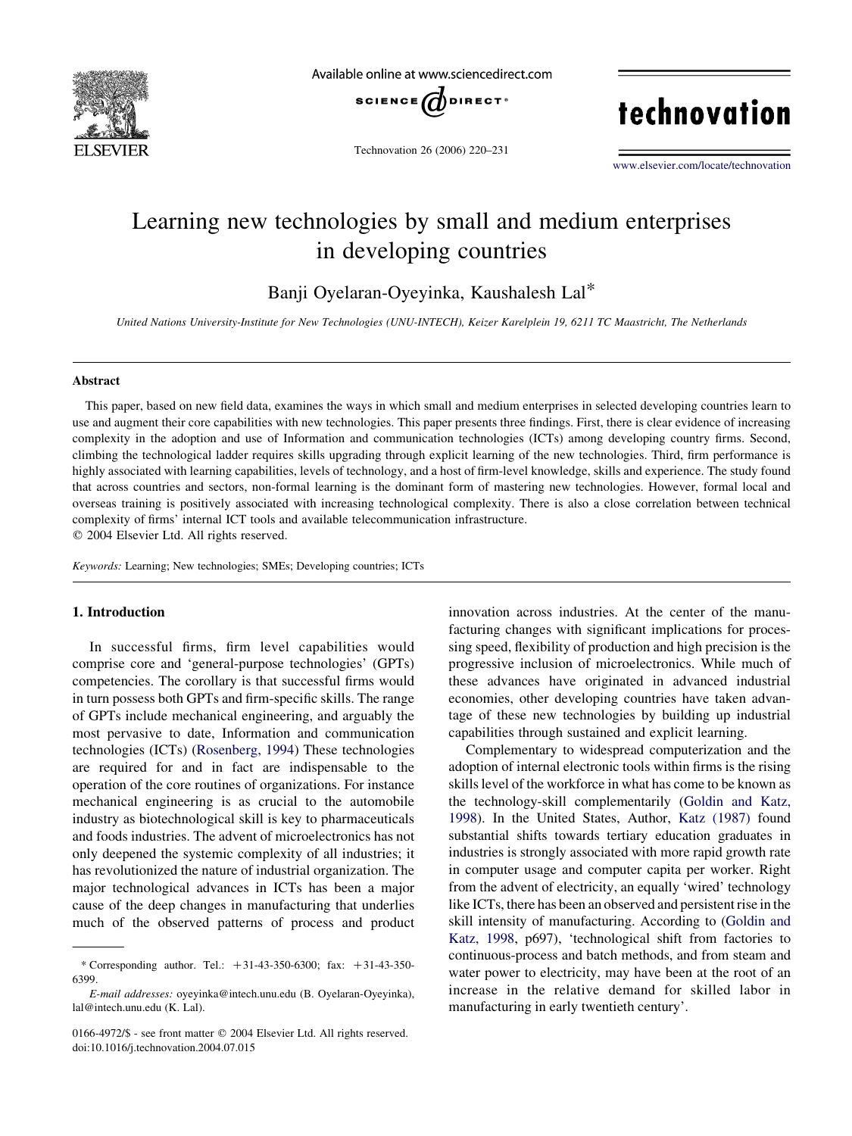

Available online at www.sciencedirect.com



Technovation 26 (2006) 220–231

technovation

[www.elsevier.com/locate/technovation](http://www.elsevier.com/locate/technovation)

## Learning new technologies by small and medium enterprises in developing countries

Banji Oyelaran-Oyeyinka, Kaushalesh Lal\*

United Nations University-Institute for New Technologies (UNU-INTECH), Keizer Karelplein 19, 6211 TC Maastricht, The Netherlands

#### Abstract

This paper, based on new field data, examines the ways in which small and medium enterprises in selected developing countries learn to use and augment their core capabilities with new technologies. This paper presents three findings. First, there is clear evidence of increasing complexity in the adoption and use of Information and communication technologies (ICTs) among developing country firms. Second, climbing the technological ladder requires skills upgrading through explicit learning of the new technologies. Third, firm performance is highly associated with learning capabilities, levels of technology, and a host of firm-level knowledge, skills and experience. The study found that across countries and sectors, non-formal learning is the dominant form of mastering new technologies. However, formal local and overseas training is positively associated with increasing technological complexity. There is also a close correlation between technical complexity of firms' internal ICT tools and available telecommunication infrastructure.  $Q$  2004 Elsevier Ltd. All rights reserved.

Keywords: Learning; New technologies; SMEs; Developing countries; ICTs

### 1. Introduction

In successful firms, firm level capabilities would comprise core and 'general-purpose technologies' (GPTs) competencies. The corollary is that successful firms would in turn possess both GPTs and firm-specific skills. The range of GPTs include mechanical engineering, and arguably the most pervasive to date, Information and communication technologies (ICTs) [\(Rosenberg, 1994\)](#page--1-0) These technologies are required for and in fact are indispensable to the operation of the core routines of organizations. For instance mechanical engineering is as crucial to the automobile industry as biotechnological skill is key to pharmaceuticals and foods industries. The advent of microelectronics has not only deepened the systemic complexity of all industries; it has revolutionized the nature of industrial organization. The major technological advances in ICTs has been a major cause of the deep changes in manufacturing that underlies much of the observed patterns of process and product innovation across industries. At the center of the manufacturing changes with significant implications for processing speed, flexibility of production and high precision is the progressive inclusion of microelectronics. While much of these advances have originated in advanced industrial economies, other developing countries have taken advantage of these new technologies by building up industrial capabilities through sustained and explicit learning.

Complementary to widespread computerization and the adoption of internal electronic tools within firms is the rising skills level of the workforce in what has come to be known as the technology-skill complementarily [\(Goldin and Katz,](#page--1-0) [1998](#page--1-0)). In the United States, Author, [Katz \(1987\)](#page--1-0) found substantial shifts towards tertiary education graduates in industries is strongly associated with more rapid growth rate in computer usage and computer capita per worker. Right from the advent of electricity, an equally 'wired' technology like ICTs, there has been an observed and persistent rise in the skill intensity of manufacturing. According to [\(Goldin and](#page--1-0) [Katz, 1998,](#page--1-0) p697), 'technological shift from factories to continuous-process and batch methods, and from steam and water power to electricity, may have been at the root of an increase in the relative demand for skilled labor in manufacturing in early twentieth century'.

<sup>\*</sup> Corresponding author. Tel.:  $+31-43-350-6300$ ; fax:  $+31-43-350-$ 6399.

E-mail addresses: oyeyinka@intech.unu.edu (B. Oyelaran-Oyeyinka), lal@intech.unu.edu (K. Lal).

<sup>0166-4972/\$ -</sup> see front matter © 2004 Elsevier Ltd. All rights reserved. doi:10.1016/j.technovation.2004.07.015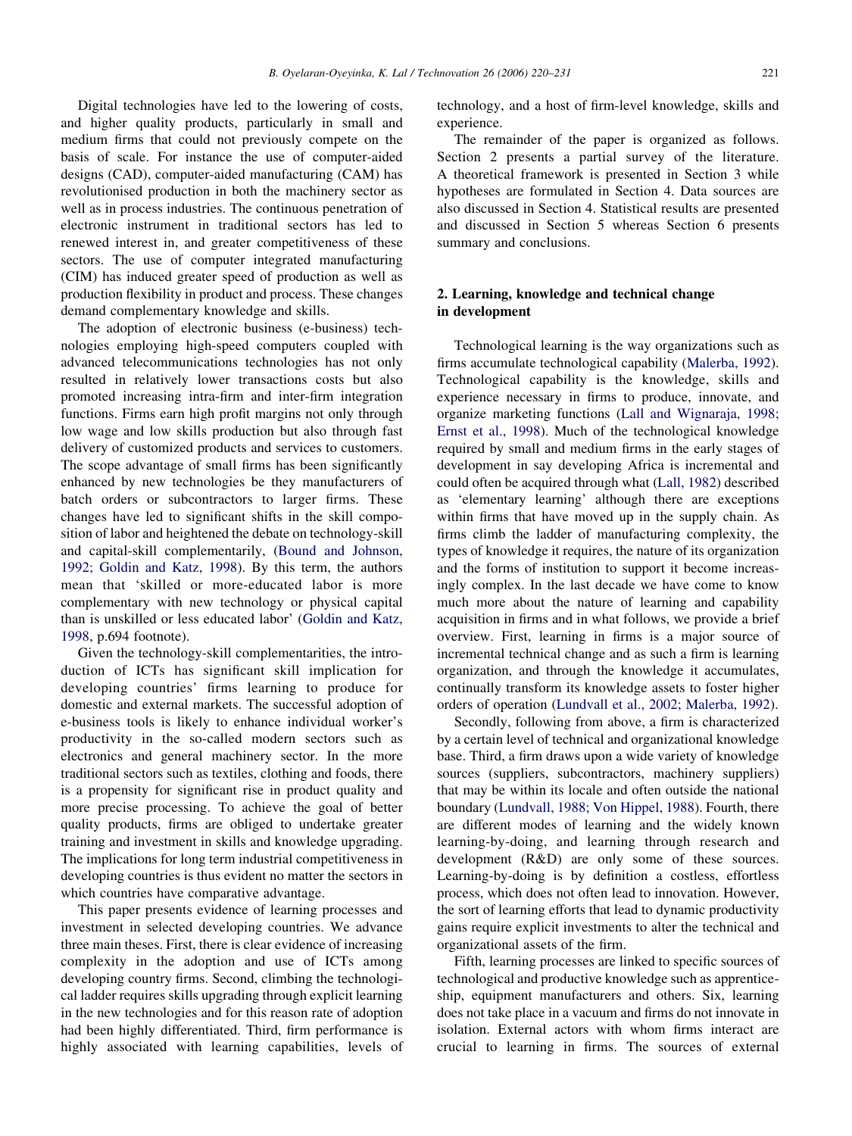Digital technologies have led to the lowering of costs, and higher quality products, particularly in small and medium firms that could not previously compete on the basis of scale. For instance the use of computer-aided designs (CAD), computer-aided manufacturing (CAM) has revolutionised production in both the machinery sector as well as in process industries. The continuous penetration of electronic instrument in traditional sectors has led to renewed interest in, and greater competitiveness of these sectors. The use of computer integrated manufacturing (CIM) has induced greater speed of production as well as production flexibility in product and process. These changes demand complementary knowledge and skills.

The adoption of electronic business (e-business) technologies employing high-speed computers coupled with advanced telecommunications technologies has not only resulted in relatively lower transactions costs but also promoted increasing intra-firm and inter-firm integration functions. Firms earn high profit margins not only through low wage and low skills production but also through fast delivery of customized products and services to customers. The scope advantage of small firms has been significantly enhanced by new technologies be they manufacturers of batch orders or subcontractors to larger firms. These changes have led to significant shifts in the skill composition of labor and heightened the debate on technology-skill and capital-skill complementarily, ([Bound and Johnson,](#page--1-0) [1992; Goldin and Katz, 1998\)](#page--1-0). By this term, the authors mean that 'skilled or more-educated labor is more complementary with new technology or physical capital than is unskilled or less educated labor' ([Goldin and Katz,](#page--1-0) [1998](#page--1-0), p.694 footnote).

Given the technology-skill complementarities, the introduction of ICTs has significant skill implication for developing countries' firms learning to produce for domestic and external markets. The successful adoption of e-business tools is likely to enhance individual worker's productivity in the so-called modern sectors such as electronics and general machinery sector. In the more traditional sectors such as textiles, clothing and foods, there is a propensity for significant rise in product quality and more precise processing. To achieve the goal of better quality products, firms are obliged to undertake greater training and investment in skills and knowledge upgrading. The implications for long term industrial competitiveness in developing countries is thus evident no matter the sectors in which countries have comparative advantage.

This paper presents evidence of learning processes and investment in selected developing countries. We advance three main theses. First, there is clear evidence of increasing complexity in the adoption and use of ICTs among developing country firms. Second, climbing the technological ladder requires skills upgrading through explicit learning in the new technologies and for this reason rate of adoption had been highly differentiated. Third, firm performance is highly associated with learning capabilities, levels of technology, and a host of firm-level knowledge, skills and experience.

The remainder of the paper is organized as follows. Section 2 presents a partial survey of the literature. A theoretical framework is presented in Section 3 while hypotheses are formulated in Section 4. Data sources are also discussed in Section 4. Statistical results are presented and discussed in Section 5 whereas Section 6 presents summary and conclusions.

### 2. Learning, knowledge and technical change in development

Technological learning is the way organizations such as firms accumulate technological capability [\(Malerba, 1992\)](#page--1-0). Technological capability is the knowledge, skills and experience necessary in firms to produce, innovate, and organize marketing functions [\(Lall and Wignaraja, 1998;](#page--1-0) [Ernst et al., 1998\)](#page--1-0). Much of the technological knowledge required by small and medium firms in the early stages of development in say developing Africa is incremental and could often be acquired through what ([Lall, 1982\)](#page--1-0) described as 'elementary learning' although there are exceptions within firms that have moved up in the supply chain. As firms climb the ladder of manufacturing complexity, the types of knowledge it requires, the nature of its organization and the forms of institution to support it become increasingly complex. In the last decade we have come to know much more about the nature of learning and capability acquisition in firms and in what follows, we provide a brief overview. First, learning in firms is a major source of incremental technical change and as such a firm is learning organization, and through the knowledge it accumulates, continually transform its knowledge assets to foster higher orders of operation ([Lundvall et al., 2002; Malerba, 1992](#page--1-0)).

Secondly, following from above, a firm is characterized by a certain level of technical and organizational knowledge base. Third, a firm draws upon a wide variety of knowledge sources (suppliers, subcontractors, machinery suppliers) that may be within its locale and often outside the national boundary ([Lundvall, 1988; Von Hippel, 1988](#page--1-0)). Fourth, there are different modes of learning and the widely known learning-by-doing, and learning through research and development (R&D) are only some of these sources. Learning-by-doing is by definition a costless, effortless process, which does not often lead to innovation. However, the sort of learning efforts that lead to dynamic productivity gains require explicit investments to alter the technical and organizational assets of the firm.

Fifth, learning processes are linked to specific sources of technological and productive knowledge such as apprenticeship, equipment manufacturers and others. Six, learning does not take place in a vacuum and firms do not innovate in isolation. External actors with whom firms interact are crucial to learning in firms. The sources of external